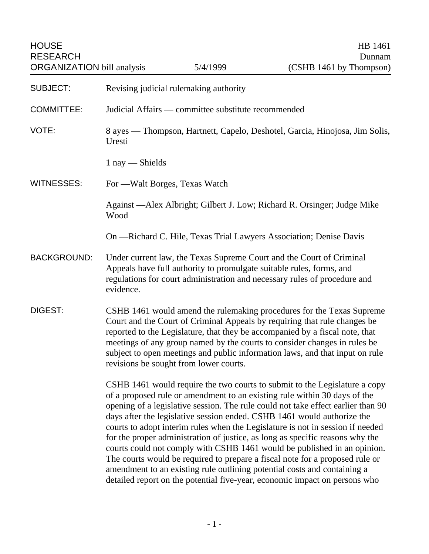| <b>HOUSE</b><br><b>RESEARCH</b><br><b>ORGANIZATION</b> bill analysis |                                                                                                                                                                                                                                                                                                                                                                                                                                                                                                                                                                                                                                                                                                                                                                                                                 | 5/4/1999 | HB 1461<br>Dunnam<br>(CSHB 1461 by Thompson) |
|----------------------------------------------------------------------|-----------------------------------------------------------------------------------------------------------------------------------------------------------------------------------------------------------------------------------------------------------------------------------------------------------------------------------------------------------------------------------------------------------------------------------------------------------------------------------------------------------------------------------------------------------------------------------------------------------------------------------------------------------------------------------------------------------------------------------------------------------------------------------------------------------------|----------|----------------------------------------------|
| <b>SUBJECT:</b>                                                      | Revising judicial rulemaking authority                                                                                                                                                                                                                                                                                                                                                                                                                                                                                                                                                                                                                                                                                                                                                                          |          |                                              |
| <b>COMMITTEE:</b>                                                    | Judicial Affairs — committee substitute recommended                                                                                                                                                                                                                                                                                                                                                                                                                                                                                                                                                                                                                                                                                                                                                             |          |                                              |
| VOTE:                                                                | 8 ayes — Thompson, Hartnett, Capelo, Deshotel, Garcia, Hinojosa, Jim Solis,<br>Uresti                                                                                                                                                                                                                                                                                                                                                                                                                                                                                                                                                                                                                                                                                                                           |          |                                              |
|                                                                      | $1$ nay $-$ Shields                                                                                                                                                                                                                                                                                                                                                                                                                                                                                                                                                                                                                                                                                                                                                                                             |          |                                              |
| <b>WITNESSES:</b>                                                    | For — Walt Borges, Texas Watch                                                                                                                                                                                                                                                                                                                                                                                                                                                                                                                                                                                                                                                                                                                                                                                  |          |                                              |
|                                                                      | Against -Alex Albright; Gilbert J. Low; Richard R. Orsinger; Judge Mike<br>Wood                                                                                                                                                                                                                                                                                                                                                                                                                                                                                                                                                                                                                                                                                                                                 |          |                                              |
|                                                                      | On -Richard C. Hile, Texas Trial Lawyers Association; Denise Davis                                                                                                                                                                                                                                                                                                                                                                                                                                                                                                                                                                                                                                                                                                                                              |          |                                              |
| <b>BACKGROUND:</b>                                                   | Under current law, the Texas Supreme Court and the Court of Criminal<br>Appeals have full authority to promulgate suitable rules, forms, and<br>regulations for court administration and necessary rules of procedure and<br>evidence.                                                                                                                                                                                                                                                                                                                                                                                                                                                                                                                                                                          |          |                                              |
| DIGEST:                                                              | CSHB 1461 would amend the rulemaking procedures for the Texas Supreme<br>Court and the Court of Criminal Appeals by requiring that rule changes be<br>reported to the Legislature, that they be accompanied by a fiscal note, that<br>meetings of any group named by the courts to consider changes in rules be<br>subject to open meetings and public information laws, and that input on rule<br>revisions be sought from lower courts.                                                                                                                                                                                                                                                                                                                                                                       |          |                                              |
|                                                                      | CSHB 1461 would require the two courts to submit to the Legislature a copy<br>of a proposed rule or amendment to an existing rule within 30 days of the<br>opening of a legislative session. The rule could not take effect earlier than 90<br>days after the legislative session ended. CSHB 1461 would authorize the<br>courts to adopt interim rules when the Legislature is not in session if needed<br>for the proper administration of justice, as long as specific reasons why the<br>courts could not comply with CSHB 1461 would be published in an opinion.<br>The courts would be required to prepare a fiscal note for a proposed rule or<br>amendment to an existing rule outlining potential costs and containing a<br>detailed report on the potential five-year, economic impact on persons who |          |                                              |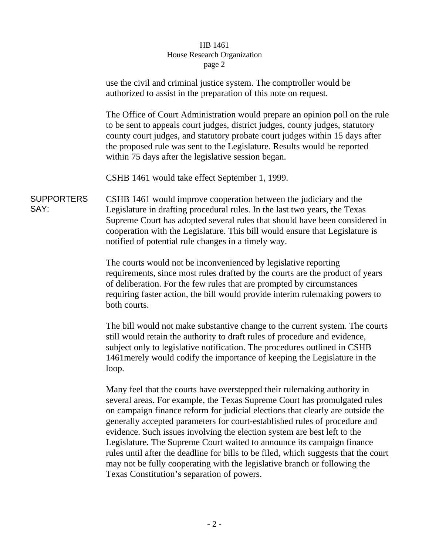## HB 1461 House Research Organization page 2

|                           | use the civil and criminal justice system. The comptroller would be<br>authorized to assist in the preparation of this note on request.                                                                                                                                                                                                                                                                             |  |  |
|---------------------------|---------------------------------------------------------------------------------------------------------------------------------------------------------------------------------------------------------------------------------------------------------------------------------------------------------------------------------------------------------------------------------------------------------------------|--|--|
|                           | The Office of Court Administration would prepare an opinion poll on the rule<br>to be sent to appeals court judges, district judges, county judges, statutory<br>county court judges, and statutory probate court judges within 15 days after<br>the proposed rule was sent to the Legislature. Results would be reported<br>within 75 days after the legislative session began.                                    |  |  |
|                           | CSHB 1461 would take effect September 1, 1999.                                                                                                                                                                                                                                                                                                                                                                      |  |  |
| <b>SUPPORTERS</b><br>SAY: | CSHB 1461 would improve cooperation between the judiciary and the<br>Legislature in drafting procedural rules. In the last two years, the Texas<br>Supreme Court has adopted several rules that should have been considered in<br>cooperation with the Legislature. This bill would ensure that Legislature is<br>notified of potential rule changes in a timely way.                                               |  |  |
|                           | The courts would not be inconvenienced by legislative reporting<br>requirements, since most rules drafted by the courts are the product of years<br>of deliberation. For the few rules that are prompted by circumstances<br>requiring faster action, the bill would provide interim rulemaking powers to<br>both courts.                                                                                           |  |  |
|                           | The bill would not make substantive change to the current system. The courts<br>still would retain the authority to draft rules of procedure and evidence,<br>subject only to legislative notification. The procedures outlined in CSHB<br>1461 merely would codify the importance of keeping the Legislature in the<br>loop.                                                                                       |  |  |
|                           | Many feel that the courts have overstepped their rulemaking authority in<br>several areas. For example, the Texas Supreme Court has promulgated rules<br>on campaign finance reform for judicial elections that clearly are outside the<br>generally accepted parameters for court-established rules of procedure and<br>evidence. Such issues involving the election system are best left to the<br>$\blacksquare$ |  |  |

Legislature. The Supreme Court waited to announce its campaign finance rules until after the deadline for bills to be filed, which suggests that the court may not be fully cooperating with the legislative branch or following the Texas Constitution's separation of powers.